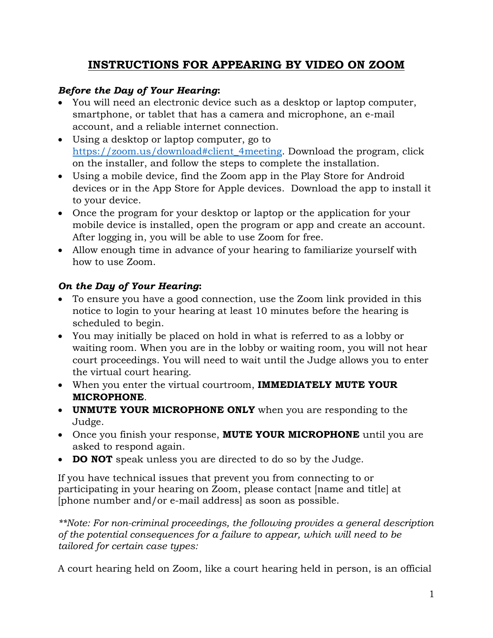## **INSTRUCTIONS FOR APPEARING BY VIDEO ON ZOOM**

## *Before the Day of Your Hearing***:**

- You will need an electronic device such as a desktop or laptop computer, smartphone, or tablet that has a camera and microphone, an e-mail account, and a reliable internet connection.
- Using a desktop or laptop computer, go to [https://zoom.us/download#client\\_4meeting.](https://zoom.us/download#client_4meeting) Download the program, click on the installer, and follow the steps to complete the installation.
- Using a mobile device, find the Zoom app in the Play Store for Android devices or in the App Store for Apple devices. Download the app to install it to your device.
- Once the program for your desktop or laptop or the application for your mobile device is installed, open the program or app and create an account. After logging in, you will be able to use Zoom for free.
- Allow enough time in advance of your hearing to familiarize yourself with how to use Zoom.

## *On the Day of Your Hearing***:**

- To ensure you have a good connection, use the Zoom link provided in this notice to login to your hearing at least 10 minutes before the hearing is scheduled to begin.
- You may initially be placed on hold in what is referred to as a lobby or waiting room. When you are in the lobby or waiting room, you will not hear court proceedings. You will need to wait until the Judge allows you to enter the virtual court hearing.
- When you enter the virtual courtroom, **IMMEDIATELY MUTE YOUR MICROPHONE**.
- **UNMUTE YOUR MICROPHONE ONLY** when you are responding to the Judge.
- Once you finish your response, **MUTE YOUR MICROPHONE** until you are asked to respond again.
- **DO NOT** speak unless you are directed to do so by the Judge.

If you have technical issues that prevent you from connecting to or participating in your hearing on Zoom, please contact [name and title] at [phone number and/or e-mail address] as soon as possible.

*\*\*Note: For non-criminal proceedings, the following provides a general description of the potential consequences for a failure to appear, which will need to be tailored for certain case types:*

A court hearing held on Zoom, like a court hearing held in person, is an official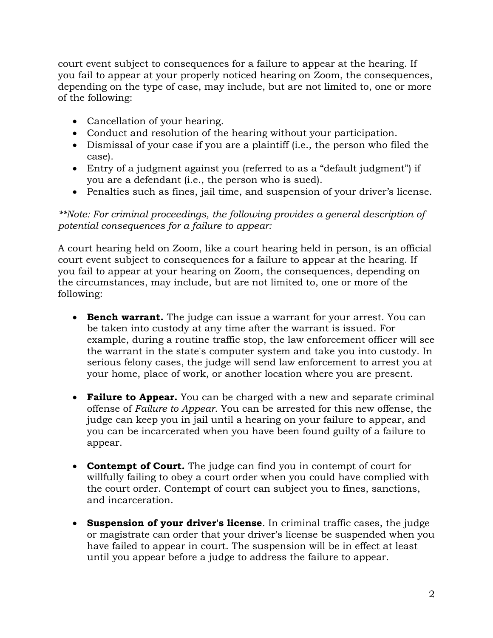court event subject to consequences for a failure to appear at the hearing. If you fail to appear at your properly noticed hearing on Zoom, the consequences, depending on the type of case, may include, but are not limited to, one or more of the following:

- Cancellation of your hearing.
- Conduct and resolution of the hearing without your participation.
- Dismissal of your case if you are a plaintiff (i.e., the person who filed the case).
- Entry of a judgment against you (referred to as a "default judgment") if you are a defendant (i.e., the person who is sued).
- Penalties such as fines, jail time, and suspension of your driver's license.

*\*\*Note: For criminal proceedings, the following provides a general description of potential consequences for a failure to appear:*

A court hearing held on Zoom, like a court hearing held in person, is an official court event subject to consequences for a failure to appear at the hearing. If you fail to appear at your hearing on Zoom, the consequences, depending on the circumstances, may include, but are not limited to, one or more of the following:

- **Bench warrant.** The judge can issue a warrant for your arrest. You can be taken into custody at any time after the warrant is issued. For example, during a routine traffic stop, the law enforcement officer will see the warrant in the state's computer system and take you into custody. In serious felony cases, the judge will send law enforcement to arrest you at your home, place of work, or another location where you are present.
- **Failure to Appear.** You can be charged with a new and separate criminal offense of *Failure to Appear*. You can be arrested for this new offense, the judge can keep you in jail until a hearing on your failure to appear, and you can be incarcerated when you have been found guilty of a failure to appear.
- **Contempt of Court.** The judge can find you in contempt of court for willfully failing to obey a court order when you could have complied with the court order. Contempt of court can subject you to fines, sanctions, and incarceration.
- **Suspension of your driver's license**. In criminal traffic cases, the judge or magistrate can order that your driver's license be suspended when you have failed to appear in court. The suspension will be in effect at least until you appear before a judge to address the failure to appear.